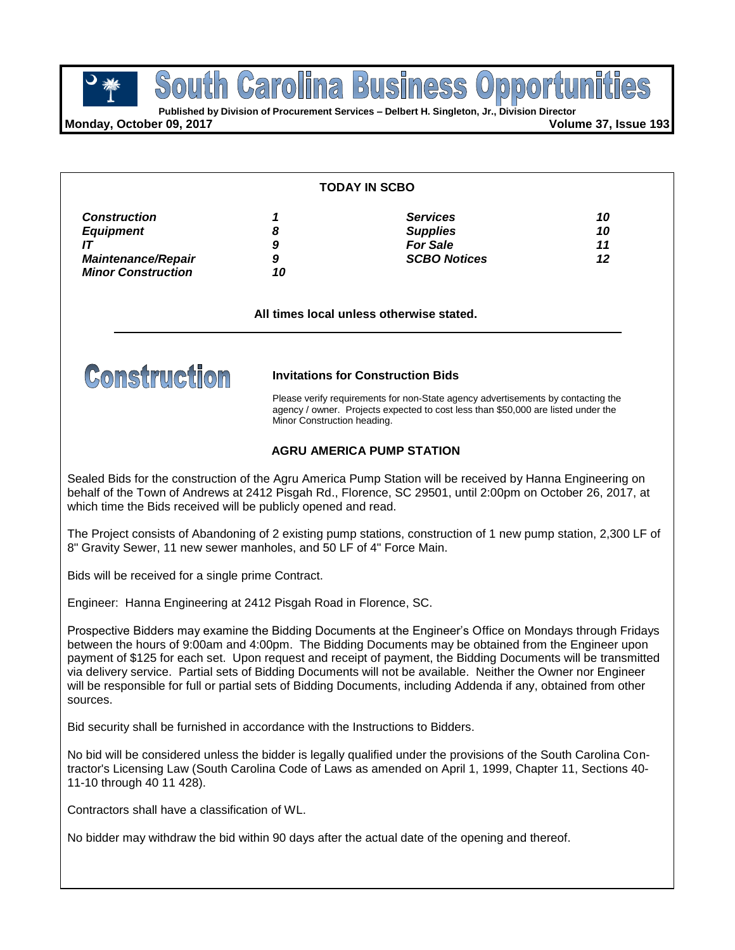**Business POUTH GETOIME BUSINESS OPPOPTED**<br> **Published by Division of Procurement Services – Delbert H. Singleton, Jr., Division Director** South Carolina

**Monday, October 09, 2017 Volume 37, Issue 193**

#### **TODAY IN SCBO**

| <b>Construction</b>       |    | <b>Services</b>     | 10 |
|---------------------------|----|---------------------|----|
| <b>Equipment</b>          |    | <b>Supplies</b>     | 10 |
|                           |    | <b>For Sale</b>     | 11 |
| <b>Maintenance/Repair</b> |    | <b>SCBO Notices</b> | 12 |
| <b>Minor Construction</b> | 10 |                     |    |

**All times local unless otherwise stated.**



**Invitations for Construction Bids**

Please verify requirements for non-State agency advertisements by contacting the agency / owner. Projects expected to cost less than \$50,000 are listed under the Minor Construction heading.

### **AGRU AMERICA PUMP STATION**

Sealed Bids for the construction of the Agru America Pump Station will be received by Hanna Engineering on behalf of the Town of Andrews at 2412 Pisgah Rd., Florence, SC 29501, until 2:00pm on October 26, 2017, at which time the Bids received will be publicly opened and read.

The Project consists of Abandoning of 2 existing pump stations, construction of 1 new pump station, 2,300 LF of 8" Gravity Sewer, 11 new sewer manholes, and 50 LF of 4" Force Main.

Bids will be received for a single prime Contract.

Engineer: Hanna Engineering at 2412 Pisgah Road in Florence, SC.

Prospective Bidders may examine the Bidding Documents at the Engineer's Office on Mondays through Fridays between the hours of 9:00am and 4:00pm. The Bidding Documents may be obtained from the Engineer upon payment of \$125 for each set. Upon request and receipt of payment, the Bidding Documents will be transmitted via delivery service. Partial sets of Bidding Documents will not be available. Neither the Owner nor Engineer will be responsible for full or partial sets of Bidding Documents, including Addenda if any, obtained from other sources.

Bid security shall be furnished in accordance with the Instructions to Bidders.

No bid will be considered unless the bidder is legally qualified under the provisions of the South Carolina Contractor's Licensing Law (South Carolina Code of Laws as amended on April 1, 1999, Chapter 11, Sections 40- 11-10 through 40 11 428).

Contractors shall have a classification of WL.

No bidder may withdraw the bid within 90 days after the actual date of the opening and thereof.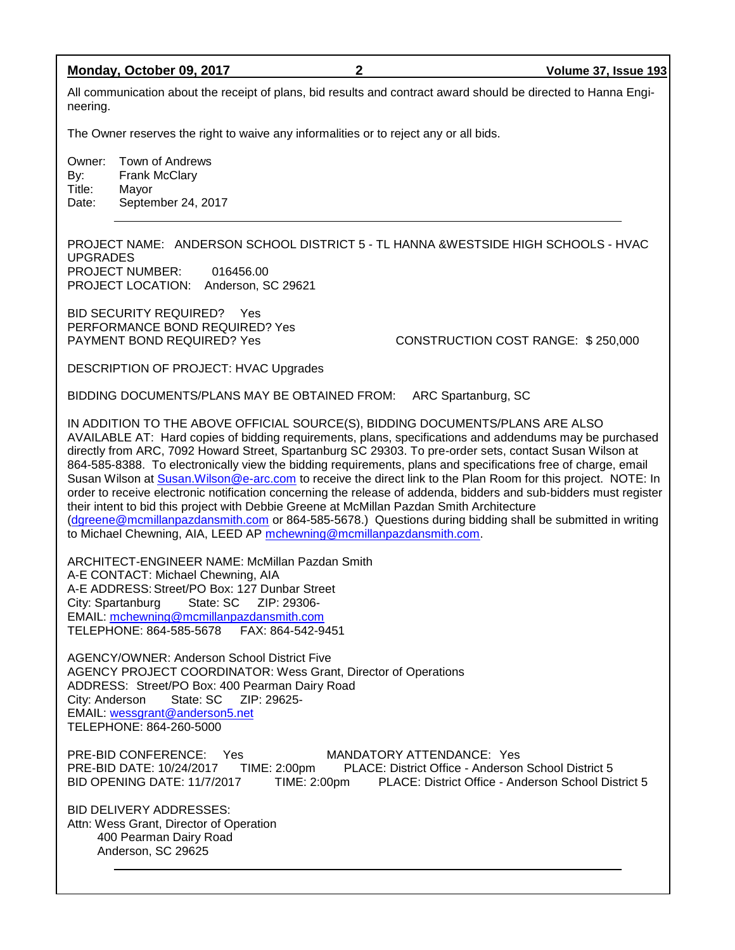#### **Monday, October 09, 2017 2 Volume 37, Issue 193**

All communication about the receipt of plans, bid results and contract award should be directed to Hanna Engineering.

The Owner reserves the right to waive any informalities or to reject any or all bids.

Owner: Town of Andrews By: Frank McClary Title: Mayor Date: September 24, 2017

PROJECT NAME: ANDERSON SCHOOL DISTRICT 5 - TL HANNA &WESTSIDE HIGH SCHOOLS - HVAC UPGRADES PROJECT NUMBER: 016456.00 PROJECT LOCATION: Anderson, SC 29621

BID SECURITY REQUIRED? Yes PERFORMANCE BOND REQUIRED? Yes

PAYMENT BOND REQUIRED? Yes CONSTRUCTION COST RANGE: \$250,000

DESCRIPTION OF PROJECT: HVAC Upgrades

BIDDING DOCUMENTS/PLANS MAY BE OBTAINED FROM: ARC Spartanburg, SC

IN ADDITION TO THE ABOVE OFFICIAL SOURCE(S), BIDDING DOCUMENTS/PLANS ARE ALSO AVAILABLE AT: Hard copies of bidding requirements, plans, specifications and addendums may be purchased directly from ARC, 7092 Howard Street, Spartanburg SC 29303. To pre-order sets, contact Susan Wilson at 864-585-8388. To electronically view the bidding requirements, plans and specifications free of charge, email Susan Wilson at [Susan.Wilson@e-arc.com](mailto:Susan.Wilson@e-arc.com) to receive the direct link to the Plan Room for this project. NOTE: In order to receive electronic notification concerning the release of addenda, bidders and sub-bidders must register their intent to bid this project with Debbie Greene at McMillan Pazdan Smith Architecture [\(dgreene@mcmillanpazdansmith.com](mailto:dgreene@mcmillanpazdansmith.com) or 864-585-5678.) Questions during bidding shall be submitted in writing to Michael Chewning, AIA, LEED AP [mchewning@mcmillanpazdansmith.com.](mailto:mchewning@mcmillanpazdansmith.com)

ARCHITECT-ENGINEER NAME: McMillan Pazdan Smith A-E CONTACT: Michael Chewning, AIA A-E ADDRESS: Street/PO Box: 127 Dunbar Street City: Spartanburg State: SC ZIP: 29306- EMAIL: [mchewning@mcmillanpazdansmith.com](mailto:mchewning@mcmillanpazdansmith.com) TELEPHONE: 864-585-5678 FAX: 864-542-9451

AGENCY/OWNER: Anderson School District Five AGENCY PROJECT COORDINATOR: Wess Grant, Director of Operations ADDRESS: Street/PO Box: 400 Pearman Dairy Road<br>City: Anderson State: SC ZIP: 29625-City: Anderson EMAIL: [wessgrant@anderson5.net](mailto:wessgrant@anderson5.net) TELEPHONE: 864-260-5000

PRE-BID CONFERENCE: Yes MANDATORY ATTENDANCE: Yes PRE-BID DATE: 10/24/2017 TIME: 2:00pm PLACE: District Office - Anderson School District 5 BID OPENING DATE: 11/7/2017 TIME: 2:00pm PLACE: District Office - Anderson School District 5

BID DELIVERY ADDRESSES: Attn: Wess Grant, Director of Operation 400 Pearman Dairy Road Anderson, SC 29625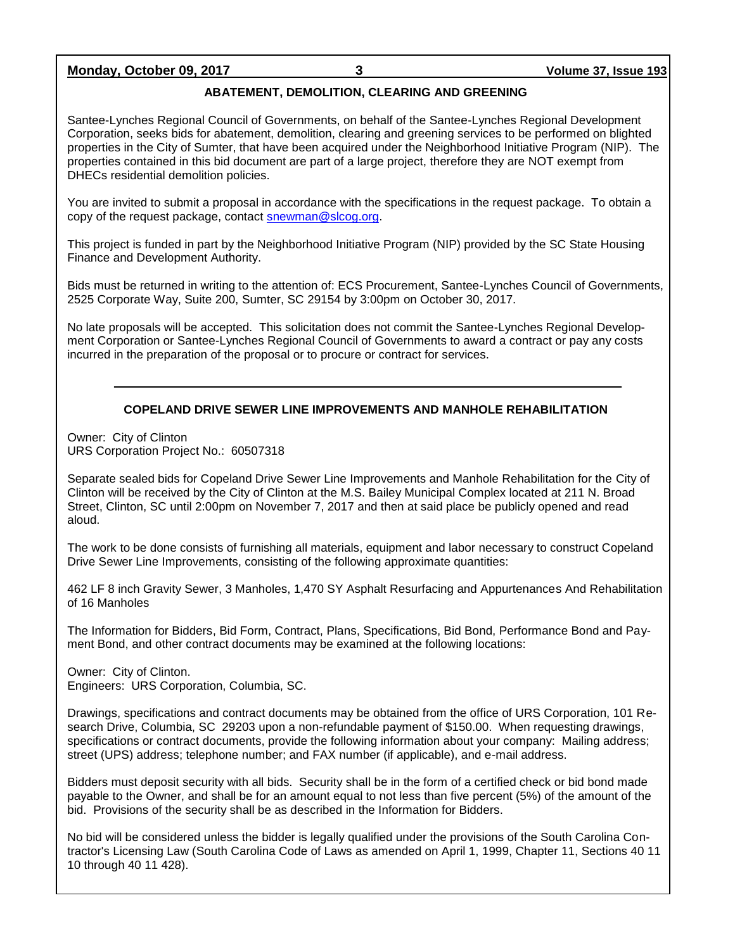### **Monday, October 09, 2017 3 Volume 37, Issue 193**

### **ABATEMENT, DEMOLITION, CLEARING AND GREENING**

Santee-Lynches Regional Council of Governments, on behalf of the Santee-Lynches Regional Development Corporation, seeks bids for abatement, demolition, clearing and greening services to be performed on blighted properties in the City of Sumter, that have been acquired under the Neighborhood Initiative Program (NIP). The properties contained in this bid document are part of a large project, therefore they are NOT exempt from DHECs residential demolition policies.

You are invited to submit a proposal in accordance with the specifications in the request package. To obtain a copy of the request package, contact [snewman@slcog.org.](mailto:snewman@slcog.org)

This project is funded in part by the Neighborhood Initiative Program (NIP) provided by the SC State Housing Finance and Development Authority.

Bids must be returned in writing to the attention of: ECS Procurement, Santee-Lynches Council of Governments, 2525 Corporate Way, Suite 200, Sumter, SC 29154 by 3:00pm on October 30, 2017.

No late proposals will be accepted. This solicitation does not commit the Santee-Lynches Regional Development Corporation or Santee-Lynches Regional Council of Governments to award a contract or pay any costs incurred in the preparation of the proposal or to procure or contract for services.

### **COPELAND DRIVE SEWER LINE IMPROVEMENTS AND MANHOLE REHABILITATION**

Owner: City of Clinton URS Corporation Project No.: 60507318

Separate sealed bids for Copeland Drive Sewer Line Improvements and Manhole Rehabilitation for the City of Clinton will be received by the City of Clinton at the M.S. Bailey Municipal Complex located at 211 N. Broad Street, Clinton, SC until 2:00pm on November 7, 2017 and then at said place be publicly opened and read aloud.

The work to be done consists of furnishing all materials, equipment and labor necessary to construct Copeland Drive Sewer Line Improvements, consisting of the following approximate quantities:

462 LF 8 inch Gravity Sewer, 3 Manholes, 1,470 SY Asphalt Resurfacing and Appurtenances And Rehabilitation of 16 Manholes

The Information for Bidders, Bid Form, Contract, Plans, Specifications, Bid Bond, Performance Bond and Payment Bond, and other contract documents may be examined at the following locations:

Owner: City of Clinton. Engineers: URS Corporation, Columbia, SC.

Drawings, specifications and contract documents may be obtained from the office of URS Corporation, 101 Research Drive, Columbia, SC 29203 upon a non-refundable payment of \$150.00. When requesting drawings, specifications or contract documents, provide the following information about your company: Mailing address; street (UPS) address; telephone number; and FAX number (if applicable), and e-mail address.

Bidders must deposit security with all bids. Security shall be in the form of a certified check or bid bond made payable to the Owner, and shall be for an amount equal to not less than five percent (5%) of the amount of the bid. Provisions of the security shall be as described in the Information for Bidders.

No bid will be considered unless the bidder is legally qualified under the provisions of the South Carolina Contractor's Licensing Law (South Carolina Code of Laws as amended on April 1, 1999, Chapter 11, Sections 40 11 10 through 40 11 428).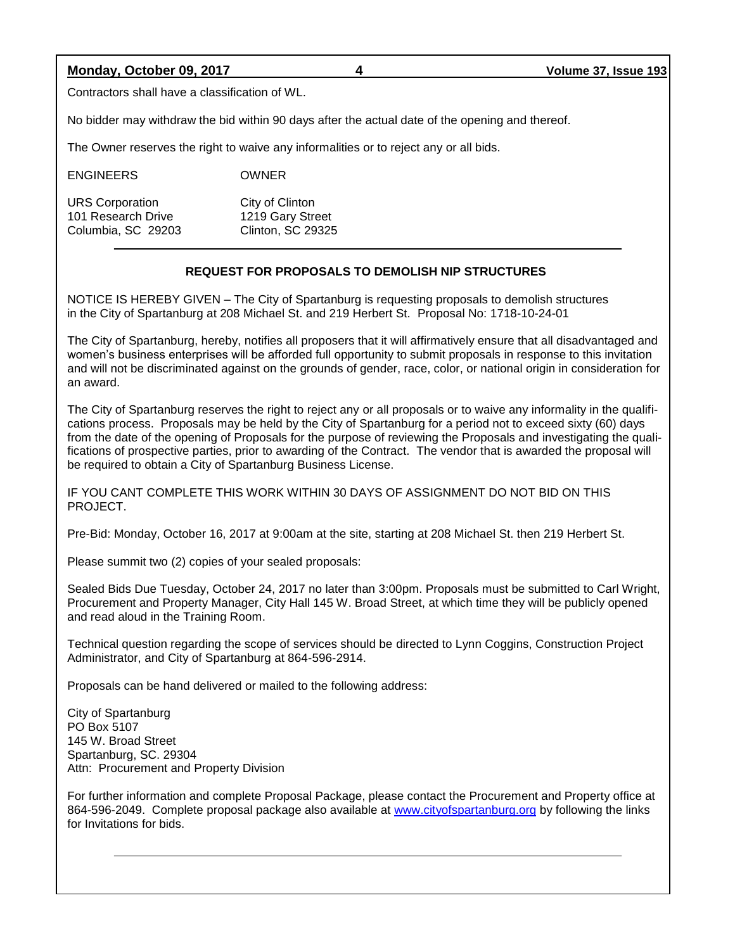**Monday, October 09, 2017 4 Volume 37, Issue 193**

Contractors shall have a classification of WL.

No bidder may withdraw the bid within 90 days after the actual date of the opening and thereof.

The Owner reserves the right to waive any informalities or to reject any or all bids.

| <b>ENGINEERS</b>                             | <b>OWNER</b>                        |
|----------------------------------------------|-------------------------------------|
| <b>URS Corporation</b><br>101 Research Drive | City of Clinton<br>1219 Gary Street |
| Columbia, SC 29203                           | <b>Clinton, SC 29325</b>            |

#### **REQUEST FOR PROPOSALS TO DEMOLISH NIP STRUCTURES**

NOTICE IS HEREBY GIVEN – The City of Spartanburg is requesting proposals to demolish structures in the City of Spartanburg at 208 Michael St. and 219 Herbert St. Proposal No: 1718-10-24-01

The City of Spartanburg, hereby, notifies all proposers that it will affirmatively ensure that all disadvantaged and women's business enterprises will be afforded full opportunity to submit proposals in response to this invitation and will not be discriminated against on the grounds of gender, race, color, or national origin in consideration for an award.

The City of Spartanburg reserves the right to reject any or all proposals or to waive any informality in the qualifications process. Proposals may be held by the City of Spartanburg for a period not to exceed sixty (60) days from the date of the opening of Proposals for the purpose of reviewing the Proposals and investigating the qualifications of prospective parties, prior to awarding of the Contract. The vendor that is awarded the proposal will be required to obtain a City of Spartanburg Business License.

IF YOU CANT COMPLETE THIS WORK WITHIN 30 DAYS OF ASSIGNMENT DO NOT BID ON THIS PROJECT.

Pre-Bid: Monday, October 16, 2017 at 9:00am at the site, starting at 208 Michael St. then 219 Herbert St.

Please summit two (2) copies of your sealed proposals:

Sealed Bids Due Tuesday, October 24, 2017 no later than 3:00pm. Proposals must be submitted to Carl Wright, Procurement and Property Manager, City Hall 145 W. Broad Street, at which time they will be publicly opened and read aloud in the Training Room.

Technical question regarding the scope of services should be directed to Lynn Coggins, Construction Project Administrator, and City of Spartanburg at 864-596-2914.

Proposals can be hand delivered or mailed to the following address:

City of Spartanburg PO Box 5107 145 W. Broad Street Spartanburg, SC. 29304 Attn: Procurement and Property Division

For further information and complete Proposal Package, please contact the Procurement and Property office at 864-596-2049. Complete proposal package also available at [www.cityofspartanburg.org](http://www.cityofspartanburg.org/) by following the links for Invitations for bids.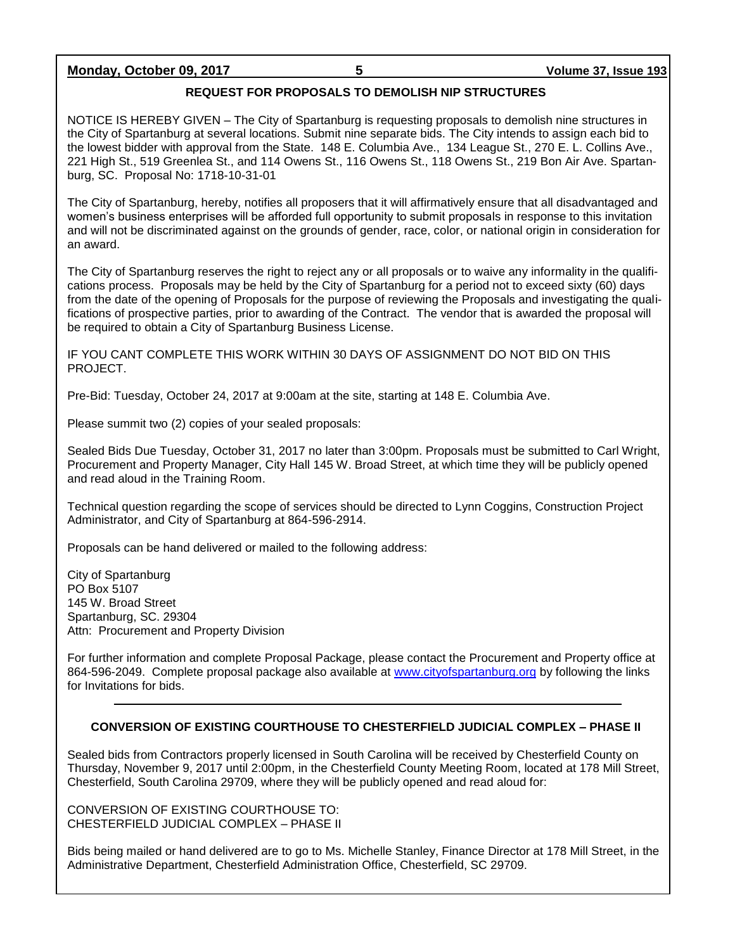### **Monday, October 09, 2017 5 Volume 37, Issue 193**

### **REQUEST FOR PROPOSALS TO DEMOLISH NIP STRUCTURES**

NOTICE IS HEREBY GIVEN – The City of Spartanburg is requesting proposals to demolish nine structures in the City of Spartanburg at several locations. Submit nine separate bids. The City intends to assign each bid to the lowest bidder with approval from the State. 148 E. Columbia Ave., 134 League St., 270 E. L. Collins Ave., 221 High St., 519 Greenlea St., and 114 Owens St., 116 Owens St., 118 Owens St., 219 Bon Air Ave. Spartanburg, SC. Proposal No: 1718-10-31-01

The City of Spartanburg, hereby, notifies all proposers that it will affirmatively ensure that all disadvantaged and women's business enterprises will be afforded full opportunity to submit proposals in response to this invitation and will not be discriminated against on the grounds of gender, race, color, or national origin in consideration for an award.

The City of Spartanburg reserves the right to reject any or all proposals or to waive any informality in the qualifications process. Proposals may be held by the City of Spartanburg for a period not to exceed sixty (60) days from the date of the opening of Proposals for the purpose of reviewing the Proposals and investigating the qualifications of prospective parties, prior to awarding of the Contract. The vendor that is awarded the proposal will be required to obtain a City of Spartanburg Business License.

IF YOU CANT COMPLETE THIS WORK WITHIN 30 DAYS OF ASSIGNMENT DO NOT BID ON THIS PROJECT.

Pre-Bid: Tuesday, October 24, 2017 at 9:00am at the site, starting at 148 E. Columbia Ave.

Please summit two (2) copies of your sealed proposals:

Sealed Bids Due Tuesday, October 31, 2017 no later than 3:00pm. Proposals must be submitted to Carl Wright, Procurement and Property Manager, City Hall 145 W. Broad Street, at which time they will be publicly opened and read aloud in the Training Room.

Technical question regarding the scope of services should be directed to Lynn Coggins, Construction Project Administrator, and City of Spartanburg at 864-596-2914.

Proposals can be hand delivered or mailed to the following address:

City of Spartanburg PO Box 5107 145 W. Broad Street Spartanburg, SC. 29304 Attn: Procurement and Property Division

For further information and complete Proposal Package, please contact the Procurement and Property office at 864-596-2049. Complete proposal package also available at [www.cityofspartanburg.org](http://www.cityofspartanburg.org/) by following the links for Invitations for bids.

#### **CONVERSION OF EXISTING COURTHOUSE TO CHESTERFIELD JUDICIAL COMPLEX – PHASE II**

Sealed bids from Contractors properly licensed in South Carolina will be received by Chesterfield County on Thursday, November 9, 2017 until 2:00pm, in the Chesterfield County Meeting Room, located at 178 Mill Street, Chesterfield, South Carolina 29709, where they will be publicly opened and read aloud for:

CONVERSION OF EXISTING COURTHOUSE TO: CHESTERFIELD JUDICIAL COMPLEX – PHASE II

Bids being mailed or hand delivered are to go to Ms. Michelle Stanley, Finance Director at 178 Mill Street, in the Administrative Department, Chesterfield Administration Office, Chesterfield, SC 29709.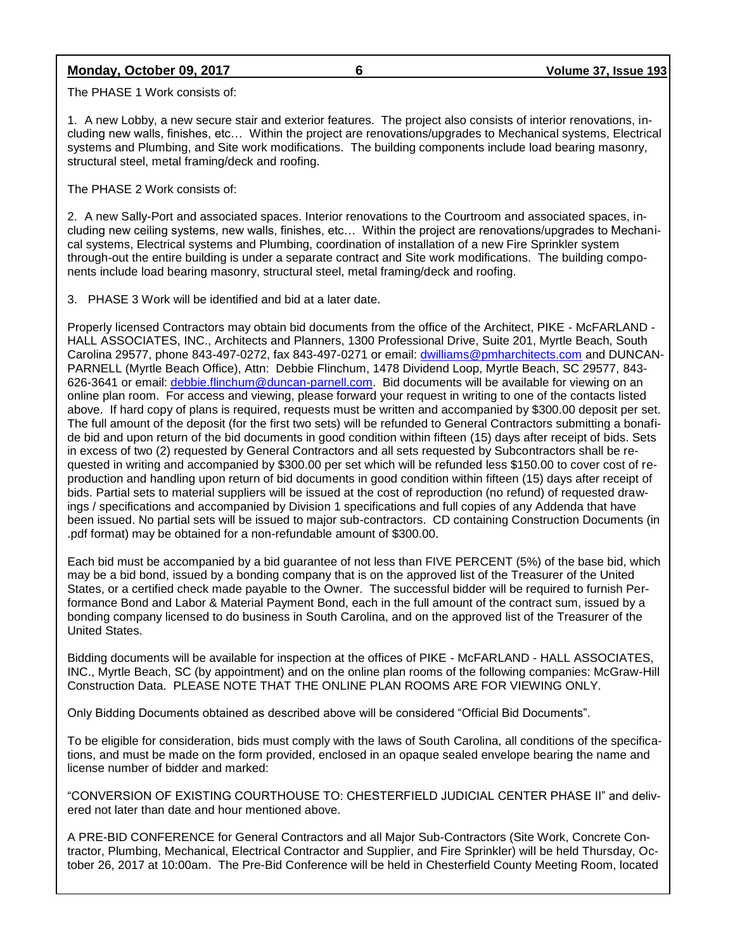### **Monday, October 09, 2017 6 Volume 37, Issue 193**

The PHASE 1 Work consists of:

1. A new Lobby, a new secure stair and exterior features. The project also consists of interior renovations, including new walls, finishes, etc… Within the project are renovations/upgrades to Mechanical systems, Electrical systems and Plumbing, and Site work modifications. The building components include load bearing masonry, structural steel, metal framing/deck and roofing.

The PHASE 2 Work consists of:

2. A new Sally-Port and associated spaces. Interior renovations to the Courtroom and associated spaces, including new ceiling systems, new walls, finishes, etc… Within the project are renovations/upgrades to Mechanical systems, Electrical systems and Plumbing, coordination of installation of a new Fire Sprinkler system through-out the entire building is under a separate contract and Site work modifications. The building components include load bearing masonry, structural steel, metal framing/deck and roofing.

3. PHASE 3 Work will be identified and bid at a later date.

Properly licensed Contractors may obtain bid documents from the office of the Architect, PIKE - McFARLAND - HALL ASSOCIATES, INC., Architects and Planners, 1300 Professional Drive, Suite 201, Myrtle Beach, South Carolina 29577, phone 843-497-0272, fax 843-497-0271 or email: [dwilliams@pmharchitects.com](mailto:dwilliams@pmharchitects.com) and DUNCAN-PARNELL (Myrtle Beach Office), Attn: Debbie Flinchum, 1478 Dividend Loop, Myrtle Beach, SC 29577, 843- 626-3641 or email: [debbie.flinchum@duncan-parnell.com.](mailto:debbie.flinchum@duncan-parnell.com) Bid documents will be available for viewing on an online plan room. For access and viewing, please forward your request in writing to one of the contacts listed above. If hard copy of plans is required, requests must be written and accompanied by \$300.00 deposit per set. The full amount of the deposit (for the first two sets) will be refunded to General Contractors submitting a bonafide bid and upon return of the bid documents in good condition within fifteen (15) days after receipt of bids. Sets in excess of two (2) requested by General Contractors and all sets requested by Subcontractors shall be requested in writing and accompanied by \$300.00 per set which will be refunded less \$150.00 to cover cost of reproduction and handling upon return of bid documents in good condition within fifteen (15) days after receipt of bids. Partial sets to material suppliers will be issued at the cost of reproduction (no refund) of requested drawings / specifications and accompanied by Division 1 specifications and full copies of any Addenda that have been issued. No partial sets will be issued to major sub-contractors. CD containing Construction Documents (in .pdf format) may be obtained for a non-refundable amount of \$300.00.

Each bid must be accompanied by a bid guarantee of not less than FIVE PERCENT (5%) of the base bid, which may be a bid bond, issued by a bonding company that is on the approved list of the Treasurer of the United States, or a certified check made payable to the Owner. The successful bidder will be required to furnish Performance Bond and Labor & Material Payment Bond, each in the full amount of the contract sum, issued by a bonding company licensed to do business in South Carolina, and on the approved list of the Treasurer of the United States.

Bidding documents will be available for inspection at the offices of PIKE - McFARLAND - HALL ASSOCIATES, INC., Myrtle Beach, SC (by appointment) and on the online plan rooms of the following companies: McGraw-Hill Construction Data. PLEASE NOTE THAT THE ONLINE PLAN ROOMS ARE FOR VIEWING ONLY.

Only Bidding Documents obtained as described above will be considered "Official Bid Documents".

To be eligible for consideration, bids must comply with the laws of South Carolina, all conditions of the specifications, and must be made on the form provided, enclosed in an opaque sealed envelope bearing the name and license number of bidder and marked:

"CONVERSION OF EXISTING COURTHOUSE TO: CHESTERFIELD JUDICIAL CENTER PHASE II" and delivered not later than date and hour mentioned above.

A PRE-BID CONFERENCE for General Contractors and all Major Sub-Contractors (Site Work, Concrete Contractor, Plumbing, Mechanical, Electrical Contractor and Supplier, and Fire Sprinkler) will be held Thursday, October 26, 2017 at 10:00am. The Pre-Bid Conference will be held in Chesterfield County Meeting Room, located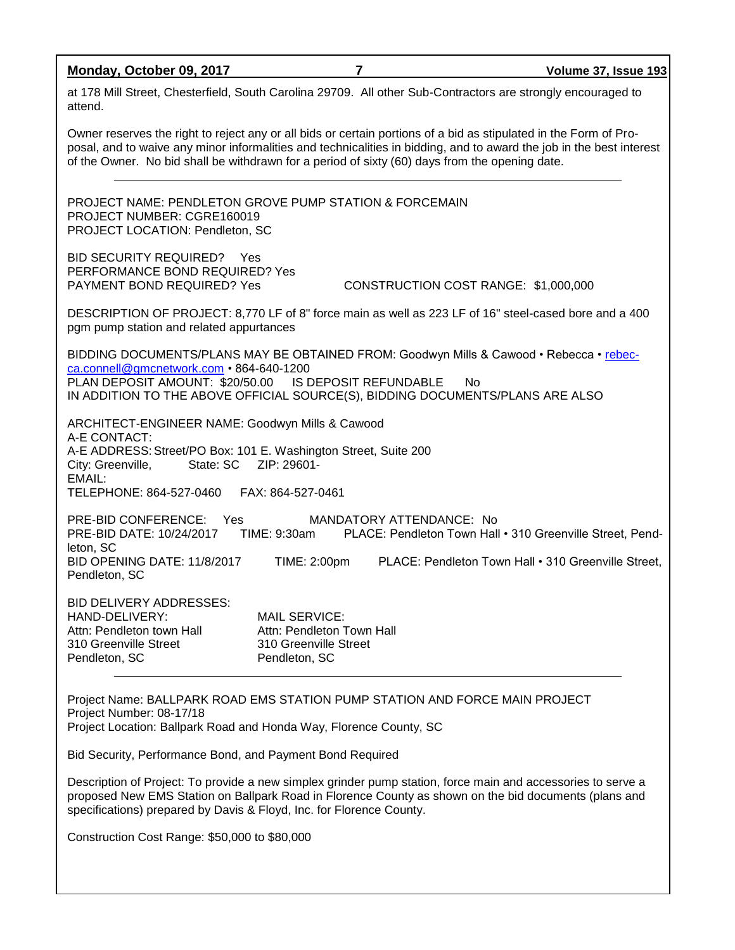**Monday, October 09, 2017 7 Volume 37, Issue 193** at 178 Mill Street, Chesterfield, South Carolina 29709. All other Sub-Contractors are strongly encouraged to attend. Owner reserves the right to reject any or all bids or certain portions of a bid as stipulated in the Form of Proposal, and to waive any minor informalities and technicalities in bidding, and to award the job in the best interest of the Owner. No bid shall be withdrawn for a period of sixty (60) days from the opening date. PROJECT NAME: PENDLETON GROVE PUMP STATION & FORCEMAIN PROJECT NUMBER: CGRE160019 PROJECT LOCATION: Pendleton, SC BID SECURITY REQUIRED? Yes PERFORMANCE BOND REQUIRED? Yes PAYMENT BOND REQUIRED? Yes CONSTRUCTION COST RANGE: \$1,000,000 DESCRIPTION OF PROJECT: 8,770 LF of 8" force main as well as 223 LF of 16" steel-cased bore and a 400 pgm pump station and related appurtances BIDDING DOCUMENTS/PLANS MAY BE OBTAINED FROM: Goodwyn Mills & Cawood • Rebecca • [rebec](mailto:rebecca.connell@gmcnetwork.com)[ca.connell@gmcnetwork.com](mailto:rebecca.connell@gmcnetwork.com) • 864-640-1200 PLAN DEPOSIT AMOUNT: \$20/50.00 IS DEPOSIT REFUNDABLE No IN ADDITION TO THE ABOVE OFFICIAL SOURCE(S), BIDDING DOCUMENTS/PLANS ARE ALSO ARCHITECT-ENGINEER NAME: Goodwyn Mills & Cawood A-E CONTACT: A-E ADDRESS: Street/PO Box: 101 E. Washington Street, Suite 200

City: Greenville, State: SC ZIP: 29601-EMAIL: TELEPHONE: 864-527-0460 FAX: 864-527-0461 PRE-BID CONFERENCE: Yes MANDATORY ATTENDANCE: No<br>PRE-BID DATE: 10/24/2017 TIME: 9:30am PLACE: Pendleton Town Hall PRE-BID DATE: 10/24/2017 TIME: 9:30am PLACE: Pendleton Town Hall • 310 Greenville Street, Pendleton, SC BID OPENING DATE: 11/8/2017 TIME: 2:00pm PLACE: Pendleton Town Hall • 310 Greenville Street, Pendleton, SC BID DELIVERY ADDRESSES:

HAND-DELIVERY: MAIL SERVICE: Attn: Pendleton town Hall **Attn: Pendleton Town Hall** 310 Greenville Street 310 Greenville Street Pendleton, SC Pendleton, SC

Project Name: BALLPARK ROAD EMS STATION PUMP STATION AND FORCE MAIN PROJECT Project Number: 08-17/18 Project Location: Ballpark Road and Honda Way, Florence County, SC

Bid Security, Performance Bond, and Payment Bond Required

Description of Project: To provide a new simplex grinder pump station, force main and accessories to serve a proposed New EMS Station on Ballpark Road in Florence County as shown on the bid documents (plans and specifications) prepared by Davis & Floyd, Inc. for Florence County.

Construction Cost Range: \$50,000 to \$80,000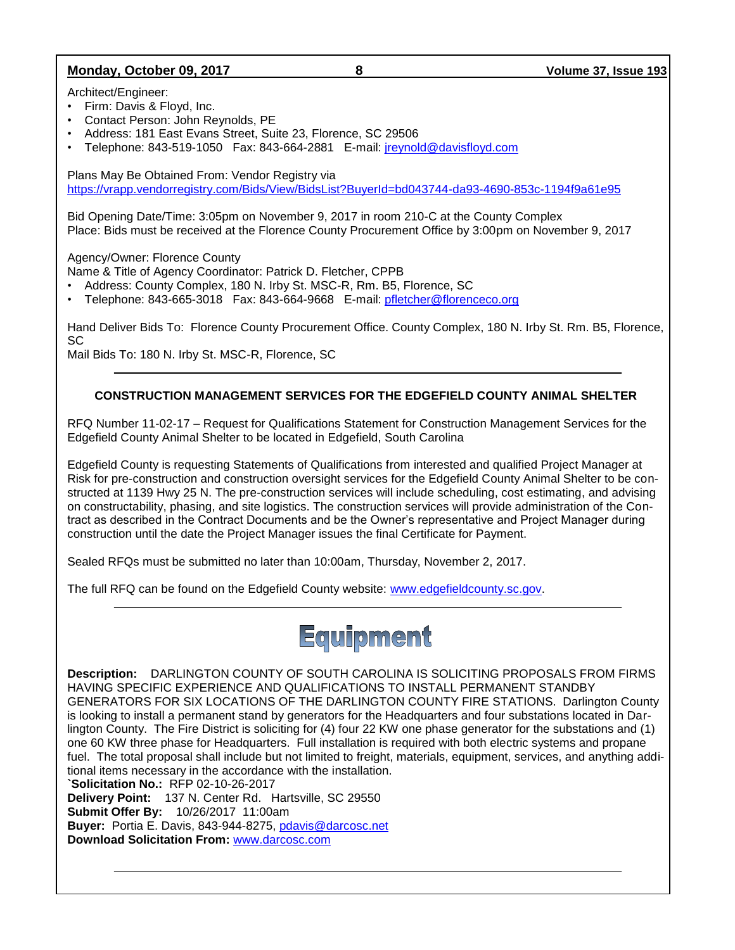### **Monday, October 09, 2017 8 Volume 37, Issue 193**

Architect/Engineer:

- Firm: Davis & Floyd, Inc.
- Contact Person: John Reynolds, PE
- Address: 181 East Evans Street, Suite 23, Florence, SC 29506
- Telephone: 843-519-1050 Fax: 843-664-2881 E-mail: [jreynold@davisfloyd.com](mailto:jreynold@davisfloyd.com)

Plans May Be Obtained From: Vendor Registry via <https://vrapp.vendorregistry.com/Bids/View/BidsList?BuyerId=bd043744-da93-4690-853c-1194f9a61e95>

Bid Opening Date/Time: 3:05pm on November 9, 2017 in room 210-C at the County Complex Place: Bids must be received at the Florence County Procurement Office by 3:00pm on November 9, 2017

Agency/Owner: Florence County

Name & Title of Agency Coordinator: Patrick D. Fletcher, CPPB

- Address: County Complex, 180 N. Irby St. MSC-R, Rm. B5, Florence, SC
- Telephone: 843-665-3018 Fax: 843-664-9668 E-mail: [pfletcher@florenceco.org](mailto:pfletcher@florenceco.org)

Hand Deliver Bids To: Florence County Procurement Office. County Complex, 180 N. Irby St. Rm. B5, Florence, SC

Mail Bids To: 180 N. Irby St. MSC-R, Florence, SC

### **CONSTRUCTION MANAGEMENT SERVICES FOR THE EDGEFIELD COUNTY ANIMAL SHELTER**

RFQ Number 11-02-17 – Request for Qualifications Statement for Construction Management Services for the Edgefield County Animal Shelter to be located in Edgefield, South Carolina

Edgefield County is requesting Statements of Qualifications from interested and qualified Project Manager at Risk for pre-construction and construction oversight services for the Edgefield County Animal Shelter to be constructed at 1139 Hwy 25 N. The pre-construction services will include scheduling, cost estimating, and advising on constructability, phasing, and site logistics. The construction services will provide administration of the Contract as described in the Contract Documents and be the Owner's representative and Project Manager during construction until the date the Project Manager issues the final Certificate for Payment.

Sealed RFQs must be submitted no later than 10:00am, Thursday, November 2, 2017.

The full RFQ can be found on the Edgefield County website: [www.edgefieldcounty.sc.gov.](http://www.edgefieldcounty.sc.gov/)



**Description:** DARLINGTON COUNTY OF SOUTH CAROLINA IS SOLICITING PROPOSALS FROM FIRMS HAVING SPECIFIC EXPERIENCE AND QUALIFICATIONS TO INSTALL PERMANENT STANDBY GENERATORS FOR SIX LOCATIONS OF THE DARLINGTON COUNTY FIRE STATIONS. Darlington County is looking to install a permanent stand by generators for the Headquarters and four substations located in Darlington County. The Fire District is soliciting for (4) four 22 KW one phase generator for the substations and (1) one 60 KW three phase for Headquarters. Full installation is required with both electric systems and propane fuel. The total proposal shall include but not limited to freight, materials, equipment, services, and anything additional items necessary in the accordance with the installation.

**`Solicitation No.:** RFP 02-10-26-2017

**Delivery Point:** 137 N. Center Rd. Hartsville, SC 29550 **Submit Offer By:** 10/26/2017 11:00am

**Buyer:** Portia E. Davis, 843-944-8275, [pdavis@darcosc.net](mailto:pdavis@darcosc.net)

**Download Solicitation From:** [www.darcosc.com](http://www.darcosc.com/)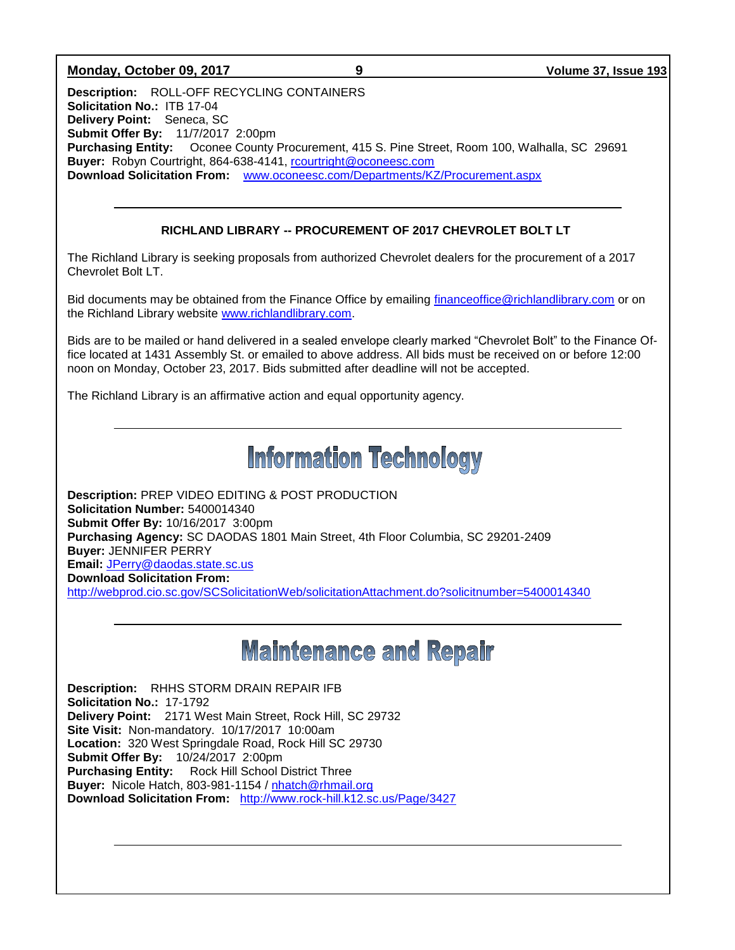### **Monday, October 09, 2017 9 Volume 37, Issue 193**

**Description:** ROLL-OFF RECYCLING CONTAINERS **Solicitation No.:** ITB 17-04 **Delivery Point:** Seneca, SC **Submit Offer By:** 11/7/2017 2:00pm **Purchasing Entity:** Oconee County Procurement, 415 S. Pine Street, Room 100, Walhalla, SC 29691 **Buyer:** Robyn Courtright, 864-638-4141, [rcourtright@oconeesc.com](mailto:rcourtright@oconeesc.com) **Download Solicitation From:** [www.oconeesc.com/Departments/KZ/Procurement.aspx](http://www.oconeesc.com/Departments/KZ/Procurement.aspx)

### **RICHLAND LIBRARY -- PROCUREMENT OF 2017 CHEVROLET BOLT LT**

The Richland Library is seeking proposals from authorized Chevrolet dealers for the procurement of a 2017 Chevrolet Bolt LT.

Bid documents may be obtained from the Finance Office by emailing [financeoffice@richlandlibrary.com](mailto:financeoffice@richlandlibrary.com) or on the Richland Library website [www.richlandlibrary.com.](http://www.richlandlibrary.com/)

Bids are to be mailed or hand delivered in a sealed envelope clearly marked "Chevrolet Bolt" to the Finance Office located at 1431 Assembly St. or emailed to above address. All bids must be received on or before 12:00 noon on Monday, October 23, 2017. Bids submitted after deadline will not be accepted.

The Richland Library is an affirmative action and equal opportunity agency.

### **Information Technology**

**Description:** PREP VIDEO EDITING & POST PRODUCTION **Solicitation Number:** 5400014340 **Submit Offer By:** 10/16/2017 3:00pm **Purchasing Agency:** SC DAODAS 1801 Main Street, 4th Floor Columbia, SC 29201-2409 **Buyer:** JENNIFER PERRY **Email:** [JPerry@daodas.state.sc.us](mailto:JPerry@daodas.state.sc.us) **Download Solicitation From:**  <http://webprod.cio.sc.gov/SCSolicitationWeb/solicitationAttachment.do?solicitnumber=5400014340>

### **Maintenance and Repair**

**Description:** RHHS STORM DRAIN REPAIR IFB **Solicitation No.:** 17-1792 **Delivery Point:** 2171 West Main Street, Rock Hill, SC 29732 **Site Visit:** Non-mandatory. 10/17/2017 10:00am **Location:** 320 West Springdale Road, Rock Hill SC 29730 **Submit Offer By:** 10/24/2017 2:00pm **Purchasing Entity:** Rock Hill School District Three **Buyer:** Nicole Hatch, 803-981-1154 / [nhatch@rhmail.org](mailto:nhatch@rhmail.org) **Download Solicitation From:** <http://www.rock-hill.k12.sc.us/Page/3427>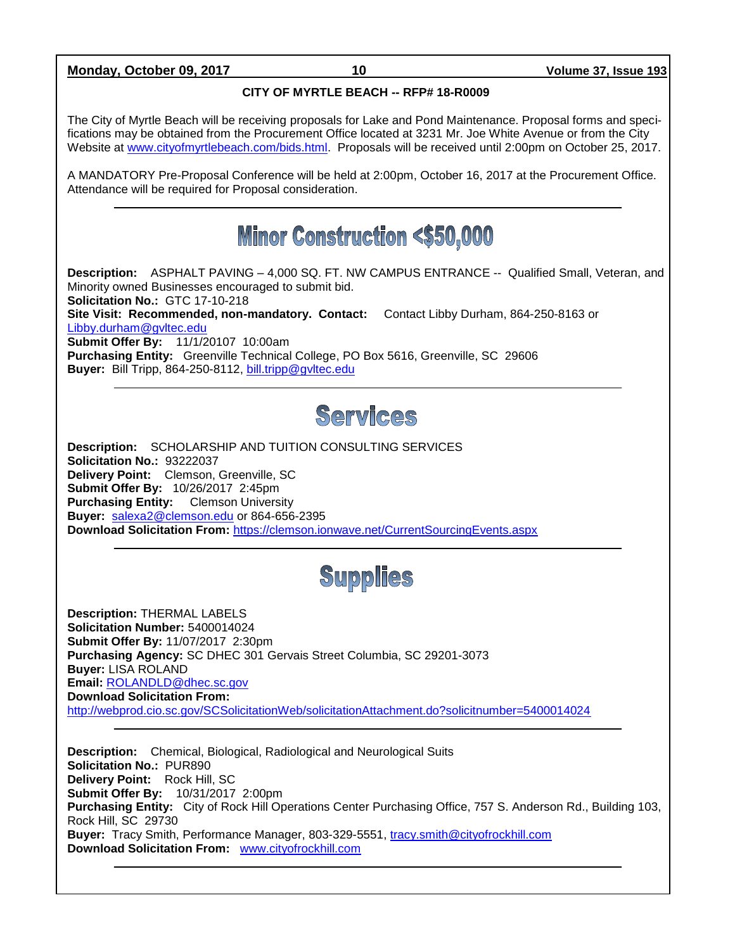**Monday, October 09, 2017 10 Volume 37, Issue 193**

### **CITY OF MYRTLE BEACH -- RFP# 18-R0009**

The City of Myrtle Beach will be receiving proposals for Lake and Pond Maintenance. Proposal forms and specifications may be obtained from the Procurement Office located at 3231 Mr. Joe White Avenue or from the City Website at [www.cityofmyrtlebeach.com/bids.html.](http://www.cityofmyrtlebeach.com/bids.html) Proposals will be received until 2:00pm on October 25, 2017.

A MANDATORY Pre-Proposal Conference will be held at 2:00pm, October 16, 2017 at the Procurement Office. Attendance will be required for Proposal consideration.

### **Minor Construction <\$50,000**

**Description:** ASPHALT PAVING – 4,000 SQ. FT. NW CAMPUS ENTRANCE -- Qualified Small, Veteran, and Minority owned Businesses encouraged to submit bid. **Solicitation No.:** GTC 17-10-218 **Site Visit: Recommended, non-mandatory. Contact:** Contact Libby Durham, 864-250-8163 or [Libby.durham@gvltec.edu](mailto:Libby.durham@gvltec.edu) **Submit Offer By:** 11/1/20107 10:00am **Purchasing Entity:** Greenville Technical College, PO Box 5616, Greenville, SC 29606 Buyer: Bill Tripp, 864-250-8112, [bill.tripp@gvltec.edu](mailto:bill.tripp@gvltec.edu)

### Services

**Description:** SCHOLARSHIP AND TUITION CONSULTING SERVICES **Solicitation No.:** 93222037 **Delivery Point:** Clemson, Greenville, SC **Submit Offer By:** 10/26/2017 2:45pm **Purchasing Entity:** Clemson University **Buyer:** [salexa2@clemson.edu](mailto:salexa2@clemson.edu) or 864-656-2395 **Download Solicitation From:** <https://clemson.ionwave.net/CurrentSourcingEvents.aspx>

## **Supplies**

**Description:** THERMAL LABELS **Solicitation Number:** 5400014024 **Submit Offer By:** 11/07/2017 2:30pm **Purchasing Agency:** SC DHEC 301 Gervais Street Columbia, SC 29201-3073 **Buyer:** LISA ROLAND **Email:** [ROLANDLD@dhec.sc.gov](mailto:ROLANDLD@dhec.sc.gov) **Download Solicitation From:**  <http://webprod.cio.sc.gov/SCSolicitationWeb/solicitationAttachment.do?solicitnumber=5400014024>

**Description:** Chemical, Biological, Radiological and Neurological Suits **Solicitation No.:** PUR890 **Delivery Point:** Rock Hill, SC **Submit Offer By:** 10/31/2017 2:00pm **Purchasing Entity:** City of Rock Hill Operations Center Purchasing Office, 757 S. Anderson Rd., Building 103, Rock Hill, SC 29730 **Buyer:** Tracy Smith, Performance Manager, 803-329-5551, [tracy.smith@cityofrockhill.com](mailto:tracy.smith@cityofrockhill.com) **Download Solicitation From:** [www.cityofrockhill.com](http://www.cityofrockhill.com/)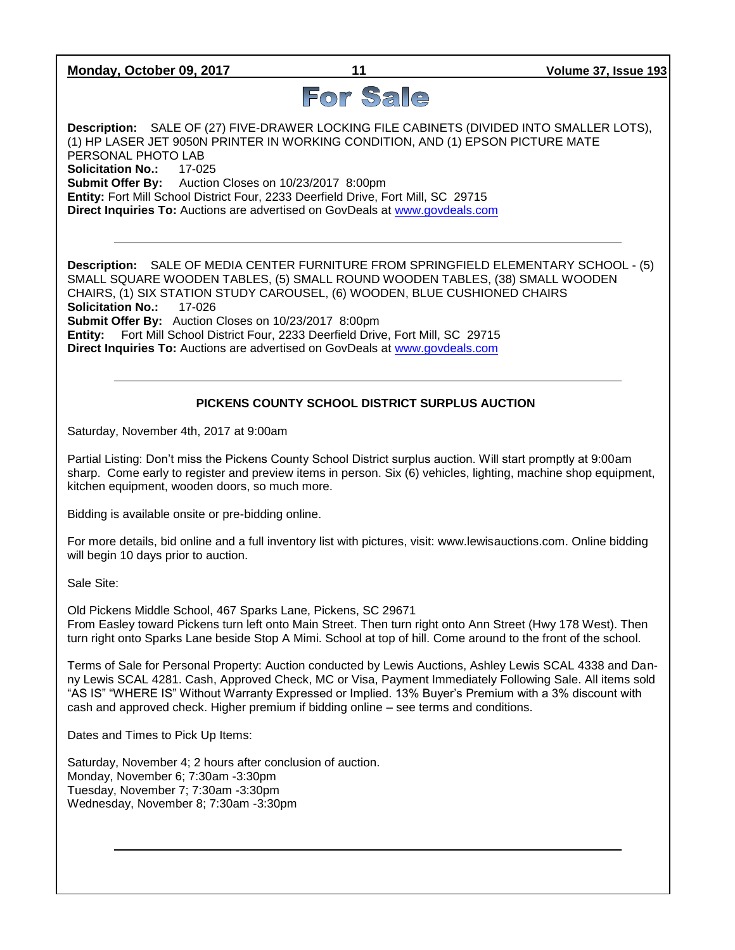**Monday, October 09, 2017 11 Volume 37, Issue 193**

# For Sale

**Description:** SALE OF (27) FIVE-DRAWER LOCKING FILE CABINETS (DIVIDED INTO SMALLER LOTS), (1) HP LASER JET 9050N PRINTER IN WORKING CONDITION, AND (1) EPSON PICTURE MATE PERSONAL PHOTO LAB **Solicitation No.:** 17-025 **Submit Offer By:** Auction Closes on 10/23/2017 8:00pm **Entity:** Fort Mill School District Four, 2233 Deerfield Drive, Fort Mill, SC 29715 **Direct Inquiries To:** Auctions are advertised on GovDeals at [www.govdeals.com](http://www.govdeals.com/)

**Description:** SALE OF MEDIA CENTER FURNITURE FROM SPRINGFIELD ELEMENTARY SCHOOL - (5) SMALL SQUARE WOODEN TABLES, (5) SMALL ROUND WOODEN TABLES, (38) SMALL WOODEN CHAIRS, (1) SIX STATION STUDY CAROUSEL, (6) WOODEN, BLUE CUSHIONED CHAIRS **Solicitation No.:** 17-026 **Submit Offer By:** Auction Closes on 10/23/2017 8:00pm **Entity:** Fort Mill School District Four, 2233 Deerfield Drive, Fort Mill, SC 29715 **Direct Inquiries To:** Auctions are advertised on GovDeals at [www.govdeals.com](http://www.govdeals.com/)

### **PICKENS COUNTY SCHOOL DISTRICT SURPLUS AUCTION**

Saturday, November 4th, 2017 at 9:00am

Partial Listing: Don't miss the Pickens County School District surplus auction. Will start promptly at 9:00am sharp. Come early to register and preview items in person. Six (6) vehicles, lighting, machine shop equipment, kitchen equipment, wooden doors, so much more.

Bidding is available onsite or pre-bidding online.

For more details, bid online and a full inventory list with pictures, visit: www.lewisauctions.com. Online bidding will begin 10 days prior to auction.

Sale Site:

Old Pickens Middle School, 467 Sparks Lane, Pickens, SC 29671 From Easley toward Pickens turn left onto Main Street. Then turn right onto Ann Street (Hwy 178 West). Then turn right onto Sparks Lane beside Stop A Mimi. School at top of hill. Come around to the front of the school.

Terms of Sale for Personal Property: Auction conducted by Lewis Auctions, Ashley Lewis SCAL 4338 and Danny Lewis SCAL 4281. Cash, Approved Check, MC or Visa, Payment Immediately Following Sale. All items sold "AS IS" "WHERE IS" Without Warranty Expressed or Implied. 13% Buyer's Premium with a 3% discount with cash and approved check. Higher premium if bidding online – see terms and conditions.

Dates and Times to Pick Up Items:

Saturday, November 4; 2 hours after conclusion of auction. Monday, November 6; 7:30am -3:30pm Tuesday, November 7; 7:30am -3:30pm Wednesday, November 8; 7:30am -3:30pm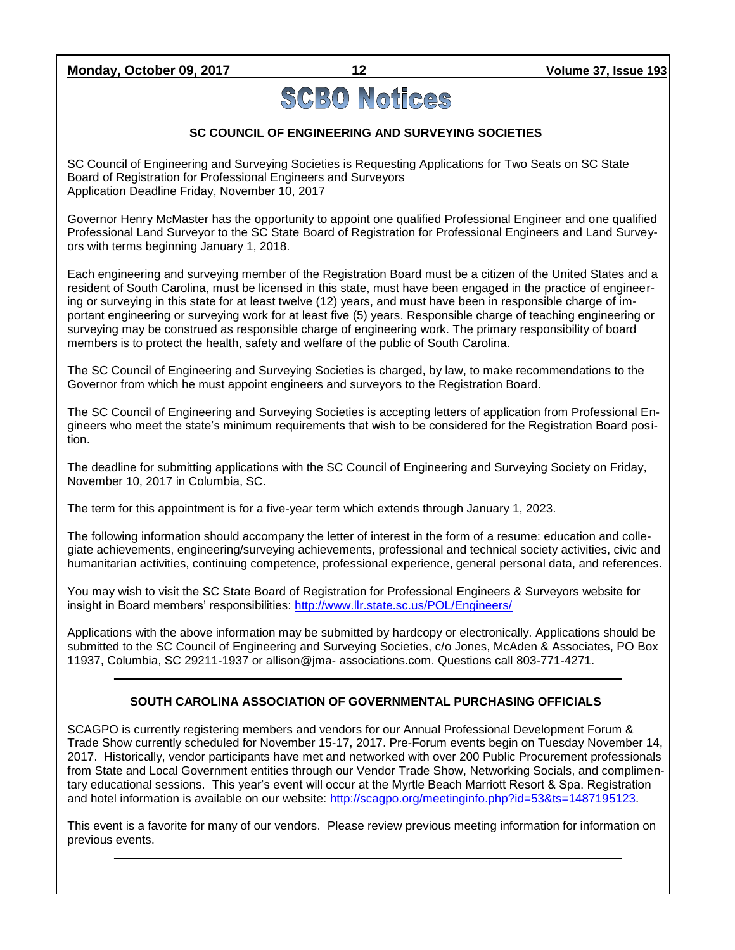**Monday, October 09, 2017 12 Volume 37, Issue 193**

# **SCBO Notices**

### **SC COUNCIL OF ENGINEERING AND SURVEYING SOCIETIES**

SC Council of Engineering and Surveying Societies is Requesting Applications for Two Seats on SC State Board of Registration for Professional Engineers and Surveyors Application Deadline Friday, November 10, 2017

Governor Henry McMaster has the opportunity to appoint one qualified Professional Engineer and one qualified Professional Land Surveyor to the SC State Board of Registration for Professional Engineers and Land Surveyors with terms beginning January 1, 2018.

Each engineering and surveying member of the Registration Board must be a citizen of the United States and a resident of South Carolina, must be licensed in this state, must have been engaged in the practice of engineering or surveying in this state for at least twelve (12) years, and must have been in responsible charge of important engineering or surveying work for at least five (5) years. Responsible charge of teaching engineering or surveying may be construed as responsible charge of engineering work. The primary responsibility of board members is to protect the health, safety and welfare of the public of South Carolina.

The SC Council of Engineering and Surveying Societies is charged, by law, to make recommendations to the Governor from which he must appoint engineers and surveyors to the Registration Board.

The SC Council of Engineering and Surveying Societies is accepting letters of application from Professional Engineers who meet the state's minimum requirements that wish to be considered for the Registration Board position.

The deadline for submitting applications with the SC Council of Engineering and Surveying Society on Friday, November 10, 2017 in Columbia, SC.

The term for this appointment is for a five-year term which extends through January 1, 2023.

The following information should accompany the letter of interest in the form of a resume: education and collegiate achievements, engineering/surveying achievements, professional and technical society activities, civic and humanitarian activities, continuing competence, professional experience, general personal data, and references.

You may wish to visit the SC State Board of Registration for Professional Engineers & Surveyors website for insight in Board members' responsibilities:<http://www.llr.state.sc.us/POL/Engineers/>

Applications with the above information may be submitted by hardcopy or electronically. Applications should be submitted to the SC Council of Engineering and Surveying Societies, c/o Jones, McAden & Associates, PO Box 11937, Columbia, SC 29211-1937 or allison@jma- associations.com. Questions call 803-771-4271.

### **SOUTH CAROLINA ASSOCIATION OF GOVERNMENTAL PURCHASING OFFICIALS**

SCAGPO is currently registering members and vendors for our Annual Professional Development Forum & Trade Show currently scheduled for November 15-17, 2017. Pre-Forum events begin on Tuesday November 14, 2017. Historically, vendor participants have met and networked with over 200 Public Procurement professionals from State and Local Government entities through our Vendor Trade Show, Networking Socials, and complimentary educational sessions. This year's event will occur at the Myrtle Beach Marriott Resort & Spa. Registration and hotel information is available on our website: [http://scagpo.org/meetinginfo.php?id=53&ts=1487195123.](http://scagpo.org/meetinginfo.php?id=53&ts=1487195123)

This event is a favorite for many of our vendors. Please review previous meeting information for information on previous events.